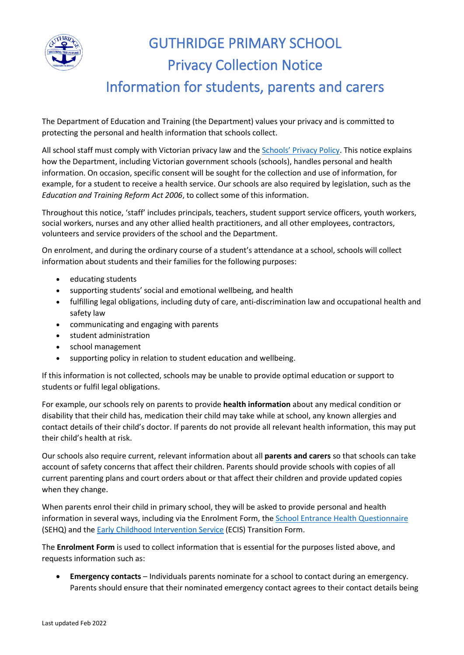

## GUTHRIDGE PRIMARY SCHOOL Privacy Collection Notice Information for students, parents and carers

The Department of Education and Training (the Department) values your privacy and is committed to protecting the personal and health information that schools collect.

All school staff must comply with Victorian privacy law and the [Schools' Privacy Policy](https://www.education.vic.gov.au/Pages/schoolsprivacypolicy.aspx). This notice explains how the Department, including Victorian government schools (schools), handles personal and health information. On occasion, specific consent will be sought for the collection and use of information, for example, for a student to receive a health service. Our schools are also required by legislation, such as the *Education and Training Reform Act 2006*, to collect some of this information.

Throughout this notice, 'staff' includes principals, teachers, student support service officers, youth workers, social workers, nurses and any other allied health practitioners, and all other employees, contractors, volunteers and service providers of the school and the Department.

On enrolment, and during the ordinary course of a student's attendance at a school, schools will collect information about students and their families for the following purposes:

- educating students
- supporting students' social and emotional wellbeing, and health
- fulfilling legal obligations, including duty of care, anti-discrimination law and occupational health and safety law
- communicating and engaging with parents
- student administration
- school management
- supporting policy in relation to student education and wellbeing.

If this information is not collected, schools may be unable to provide optimal education or support to students or fulfil legal obligations.

For example, our schools rely on parents to provide **health information** about any medical condition or disability that their child has, medication their child may take while at school, any known allergies and contact details of their child's doctor. If parents do not provide all relevant health information, this may put their child's health at risk.

Our schools also require current, relevant information about all **parents and carers** so that schools can take account of safety concerns that affect their children. Parents should provide schools with copies of all current parenting plans and court orders about or that affect their children and provide updated copies when they change.

When parents enrol their child in primary school, they will be asked to provide personal and health information in several ways, including via the Enrolment Form, th[e School Entrance Health Questionnaire](https://www.education.vic.gov.au/about/research/Pages/reportdatahealth.aspx) (SEHQ) and th[e Early Childhood Intervention Service](https://www.education.vic.gov.au/childhood/professionals/needs/Pages/ecisabout.aspx) (ECIS) Transition Form.

The **Enrolment Form** is used to collect information that is essential for the purposes listed above, and requests information such as:

• **Emergency contacts** – Individuals parents nominate for a school to contact during an emergency. Parents should ensure that their nominated emergency contact agrees to their contact details being